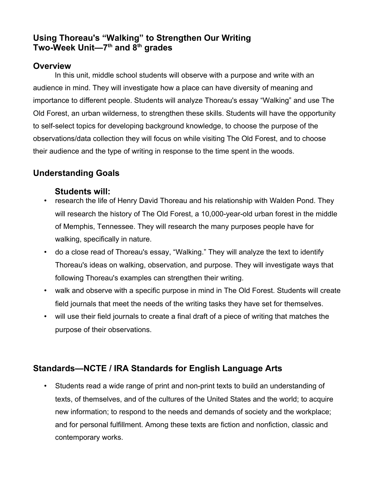# **Using Thoreau's "Walking" to Strengthen Our Writing Two-Week Unit—7th and 8th grades**

## **Overview**

In this unit, middle school students will observe with a purpose and write with an audience in mind. They will investigate how a place can have diversity of meaning and importance to different people. Students will analyze Thoreau's essay "Walking" and use The Old Forest, an urban wilderness, to strengthen these skills. Students will have the opportunity to self-select topics for developing background knowledge, to choose the purpose of the observations/data collection they will focus on while visiting The Old Forest, and to choose their audience and the type of writing in response to the time spent in the woods.

# **Understanding Goals**

### **Students will:**

- research the life of Henry David Thoreau and his relationship with Walden Pond. They will research the history of The Old Forest, a 10,000-year-old urban forest in the middle of Memphis, Tennessee. They will research the many purposes people have for walking, specifically in nature.
- do a close read of Thoreau's essay, "Walking." They will analyze the text to identify Thoreau's ideas on walking, observation, and purpose. They will investigate ways that following Thoreau's examples can strengthen their writing.
- walk and observe with a specific purpose in mind in The Old Forest. Students will create field journals that meet the needs of the writing tasks they have set for themselves.
- will use their field journals to create a final draft of a piece of writing that matches the purpose of their observations.

# **Standards—NCTE / IRA Standards for English Language Arts**

• Students read a wide range of print and non-print texts to build an understanding of texts, of themselves, and of the cultures of the United States and the world; to acquire new information; to respond to the needs and demands of society and the workplace; and for personal fulfillment. Among these texts are fiction and nonfiction, classic and contemporary works.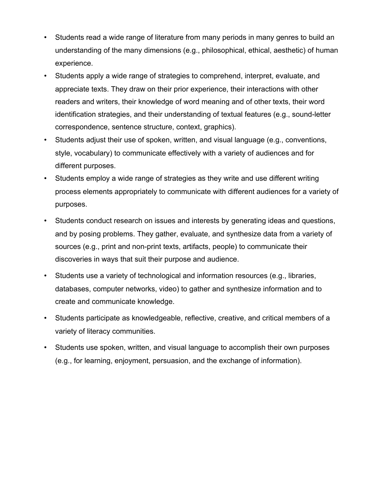- Students read a wide range of literature from many periods in many genres to build an understanding of the many dimensions (e.g., philosophical, ethical, aesthetic) of human experience.
- Students apply a wide range of strategies to comprehend, interpret, evaluate, and appreciate texts. They draw on their prior experience, their interactions with other readers and writers, their knowledge of word meaning and of other texts, their word identification strategies, and their understanding of textual features (e.g., sound-letter correspondence, sentence structure, context, graphics).
- Students adjust their use of spoken, written, and visual language (e.g., conventions, style, vocabulary) to communicate effectively with a variety of audiences and for different purposes.
- Students employ a wide range of strategies as they write and use different writing process elements appropriately to communicate with different audiences for a variety of purposes.
- Students conduct research on issues and interests by generating ideas and questions, and by posing problems. They gather, evaluate, and synthesize data from a variety of sources (e.g., print and non-print texts, artifacts, people) to communicate their discoveries in ways that suit their purpose and audience.
- Students use a variety of technological and information resources (e.g., libraries, databases, computer networks, video) to gather and synthesize information and to create and communicate knowledge.
- Students participate as knowledgeable, reflective, creative, and critical members of a variety of literacy communities.
- Students use spoken, written, and visual language to accomplish their own purposes (e.g., for learning, enjoyment, persuasion, and the exchange of information).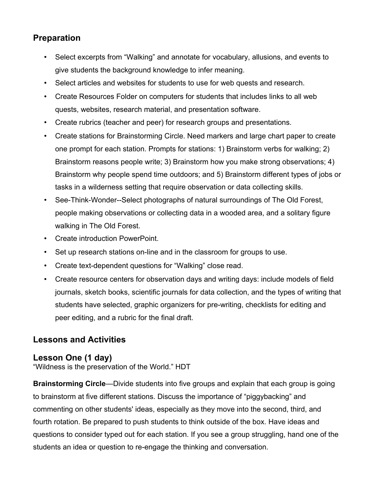# **Preparation**

- Select excerpts from "Walking" and annotate for vocabulary, allusions, and events to give students the background knowledge to infer meaning.
- Select articles and websites for students to use for web quests and research.
- Create Resources Folder on computers for students that includes links to all web quests, websites, research material, and presentation software.
- Create rubrics (teacher and peer) for research groups and presentations.
- Create stations for Brainstorming Circle. Need markers and large chart paper to create one prompt for each station. Prompts for stations: 1) Brainstorm verbs for walking; 2) Brainstorm reasons people write; 3) Brainstorm how you make strong observations; 4) Brainstorm why people spend time outdoors; and 5) Brainstorm different types of jobs or tasks in a wilderness setting that require observation or data collecting skills.
- See-Think-Wonder--Select photographs of natural surroundings of The Old Forest, people making observations or collecting data in a wooded area, and a solitary figure walking in The Old Forest.
- Create introduction PowerPoint.
- Set up research stations on-line and in the classroom for groups to use.
- Create text-dependent questions for "Walking" close read.
- Create resource centers for observation days and writing days: include models of field journals, sketch books, scientific journals for data collection, and the types of writing that students have selected, graphic organizers for pre-writing, checklists for editing and peer editing, and a rubric for the final draft.

## **Lessons and Activities**

## **Lesson One (1 day)**

"Wildness is the preservation of the World." HDT

**Brainstorming Circle**—Divide students into five groups and explain that each group is going to brainstorm at five different stations. Discuss the importance of "piggybacking" and commenting on other students' ideas, especially as they move into the second, third, and fourth rotation. Be prepared to push students to think outside of the box. Have ideas and questions to consider typed out for each station. If you see a group struggling, hand one of the students an idea or question to re-engage the thinking and conversation.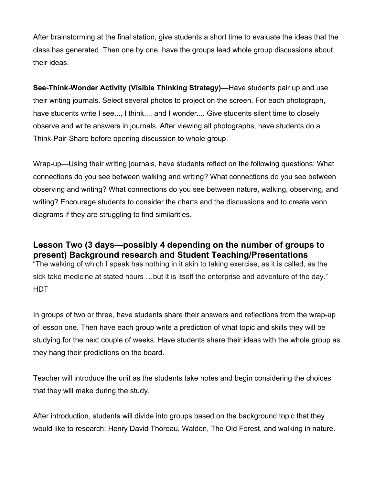After brainstorming at the final station, give students a short time to evaluate the ideas that the class has generated. Then one by one, have the groups lead whole group discussions about their ideas.

**See-Think-Wonder Activity (Visible Thinking Strategy)—**Have students pair up and use their writing journals. Select several photos to project on the screen. For each photograph, have students write I see..., I think..., and I wonder.... Give students silent time to closely observe and write answers in journals. After viewing all photographs, have students do a Think-Pair-Share before opening discussion to whole group.

Wrap-up—Using their writing journals, have students reflect on the following questions: What connections do you see between walking and writing? What connections do you see between observing and writing? What connections do you see between nature, walking, observing, and writing? Encourage students to consider the charts and the discussions and to create venn diagrams if they are struggling to find similarities.

**Lesson Two (3 days—possibly 4 depending on the number of groups to present) Background research and Student Teaching/Presentations** "The walking of which I speak has nothing in it akin to taking exercise, as it is called, as the sick take medicine at stated hours ...but it is itself the enterprise and adventure of the day." HDT

In groups of two or three, have students share their answers and reflections from the wrap-up of lesson one. Then have each group write a prediction of what topic and skills they will be studying for the next couple of weeks. Have students share their ideas with the whole group as they hang their predictions on the board.

Teacher will introduce the unit as the students take notes and begin considering the choices that they will make during the study.

After introduction, students will divide into groups based on the background topic that they would like to research: Henry David Thoreau, Walden, The Old Forest, and walking in nature.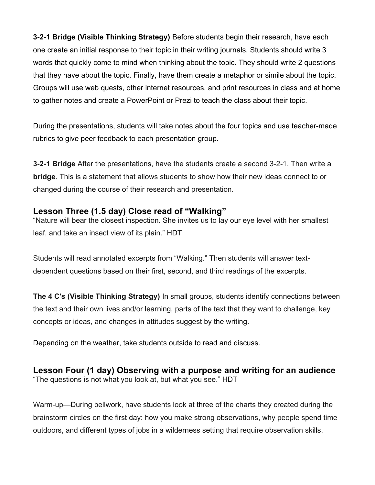**3-2-1 Bridge (Visible Thinking Strategy)** Before students begin their research, have each one create an initial response to their topic in their writing journals. Students should write 3 words that quickly come to mind when thinking about the topic. They should write 2 questions that they have about the topic. Finally, have them create a metaphor or simile about the topic. Groups will use web quests, other internet resources, and print resources in class and at home to gather notes and create a PowerPoint or Prezi to teach the class about their topic.

During the presentations, students will take notes about the four topics and use teacher-made rubrics to give peer feedback to each presentation group.

**3-2-1 Bridge** After the presentations, have the students create a second 3-2-1. Then write a **bridge**. This is a statement that allows students to show how their new ideas connect to or changed during the course of their research and presentation.

### **Lesson Three (1.5 day) Close read of "Walking"**

"Nature will bear the closest inspection. She invites us to lay our eye level with her smallest leaf, and take an insect view of its plain." HDT

Students will read annotated excerpts from "Walking." Then students will answer textdependent questions based on their first, second, and third readings of the excerpts.

**The 4 C's (Visible Thinking Strategy)** In small groups, students identify connections between the text and their own lives and/or learning, parts of the text that they want to challenge, key concepts or ideas, and changes in attitudes suggest by the writing.

Depending on the weather, take students outside to read and discuss.

**Lesson Four (1 day) Observing with a purpose and writing for an audience** "The questions is not what you look at, but what you see." HDT

Warm-up—During bellwork, have students look at three of the charts they created during the brainstorm circles on the first day: how you make strong observations, why people spend time outdoors, and different types of jobs in a wilderness setting that require observation skills.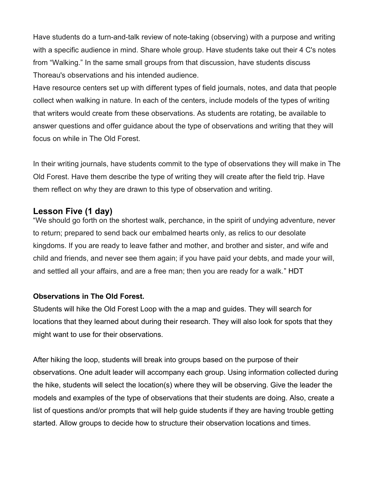Have students do a turn-and-talk review of note-taking (observing) with a purpose and writing with a specific audience in mind. Share whole group. Have students take out their 4 C's notes from "Walking." In the same small groups from that discussion, have students discuss Thoreau's observations and his intended audience.

Have resource centers set up with different types of field journals, notes, and data that people collect when walking in nature. In each of the centers, include models of the types of writing that writers would create from these observations. As students are rotating, be available to answer questions and offer guidance about the type of observations and writing that they will focus on while in The Old Forest.

In their writing journals, have students commit to the type of observations they will make in The Old Forest. Have them describe the type of writing they will create after the field trip. Have them reflect on why they are drawn to this type of observation and writing.

### **Lesson Five (1 day)**

"We should go forth on the shortest walk, perchance, in the spirit of undying adventure, never to return; prepared to send back our embalmed hearts only, as relics to our desolate kingdoms. If you are ready to leave father and mother, and brother and sister, and wife and child and friends, and never see them again; if you have paid your debts, and made your will, and settled all your affairs, and are a free man; then you are ready for a walk." HDT

#### **Observations in The Old Forest.**

Students will hike the Old Forest Loop with the a map and guides. They will search for locations that they learned about during their research. They will also look for spots that they might want to use for their observations.

After hiking the loop, students will break into groups based on the purpose of their observations. One adult leader will accompany each group. Using information collected during the hike, students will select the location(s) where they will be observing. Give the leader the models and examples of the type of observations that their students are doing. Also, create a list of questions and/or prompts that will help guide students if they are having trouble getting started. Allow groups to decide how to structure their observation locations and times.